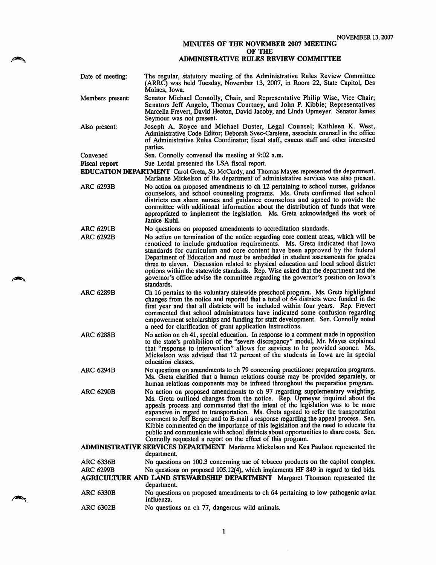## MINUTES OF THE NOVEMBER 2007 MEETING OF THE

## ADMINISTRATIVE RULES REVIEW COMMITTEE

- Date of meeting: The regular, statutory meeting of the Administrative Rules Review Committee (ARRC) was held Tuesday, November 13, 2007, in Room 22, State Capitol, Des Moines, Iowa. Senator Michael Connolly, Chair, and Representative Philip Wise, Vice Chair; Senators Jeff Angelo, Thomas Courtney, and John P. Kibbie; Representatives Marcella Frevert, David Heaton, David Jacoby, and Linda Upmeyer. Senator James Seymour was not present. Joseph A. Royce and Michael Duster, Legal Counsel; Kathleen K. West, Administrative Code Editor; Deborah Svec-Carstens, associate counsel in the office of Administrative Rules Coordinator; fiscal staff, caucus staff and other interested parties. Members present: Also present: Convened
- Sen. Connolly convened the meeting at 9:02 a.m.
- Sue Lerdal presented the LSA fiscal report. Fiscal report
- EDUCATION DEPARTMENT Carol Greta, Su McCurdy, and Thomas Mayes represented the department. Marianne Mickelson of the department of administrative services was also present.
- No action on proposed amendments to ch 12 pertaining to school nurses, guidance counselors, and school counseling programs. Ms. Greta confirmed that school districts can share nurses and guidance counselors and agreed to provide the committee with additional information about the distribution of funds that were appropriated to implement the legislation. Ms. Greta acknowledged the work of Janice Kuhl. ARC 6293B
- ARC 6291B No questions on proposed amendments to accreditation standards.
- ARC 6292B No action on termination of the notice regarding core content areas, which will be renoticed to include graduation requirements. Ms. Greta indicated that Iowa standards for curriculum and core content have been approved by the federal Department of Education and must be embedded in student assessments for grades three to eleven. Discussion related to physical education and local school district options within the statewide standards. Rep. Wise asked that the department and the governor's office advise the committee regarding the governor's position on Iowa's standards.
- ARC 6289B Ch 16 pertains to the voluntary statewide preschool program. Ms. Greta highlighted changes from the notice and reported that a total of 64 districts were funded in the first year and that all districts will be included within four years. Rep. Frevert commented that school administrators have indicated some confusion regarding empowerment scholarships and funding for staff development. Sen. Connolly noted a need for clarification of grant application instructions.
- ARC 6288B No action on ch 41, special education. In response to a comment made in opposition to the state's prohibition of the "severe discrepancy" model, Mr. Mayes explained that "response to intervention" allows for services to be provided sooner. Ms. Mickelson was advised that 12 percent of the students in Iowa are in special education classes.
- ARC 6294B No questions on amendments to ch 79 concerning practitioner preparation programs. Ms. Greta clariffed that a human relations course may be provided separately, or human relations components may be infused throughout the preparation program.
- ARC 6290B No action on proposed amendments to ch 97 regarding supplementary weighting. Ms. Greta outlined changes from the notice. Rep. Upmeyer inquired about the appeals process and commented that the intent of the legislation was to be more expansive in regard to transportation. Ms. Greta agreed to refer the transportation comment to Jeff Berger and to E-mail a response regarding the appeal process. Sen. Kibbie commented on the importance of this legislation and the need to educate the public and communicate with school districts about opportunities to share costs. Sen. Connolly requested a report on the effect of this program.

## ADMINISTRATIVE SERVICES DEPARTMENT Marianne Mickelson and Ken Paulson represented the department.

ARC 6336B No questions on 100.3 concerning use of tobacco products on the capitol complex. ARC 6299B No questions on proposed 105.12(4), which implements HF 849 in regard to tied bids.

AGRICULTURE AND LAND STEWARDSHIP DEPARTMENT Margaret Thomson represented the department.

- ARC 6330B No questions on proposed amendments to ch 64 pertaining to low pathogenic avian influenza.
- ARC 6302B No questions on ch 77, dangerous wild animals.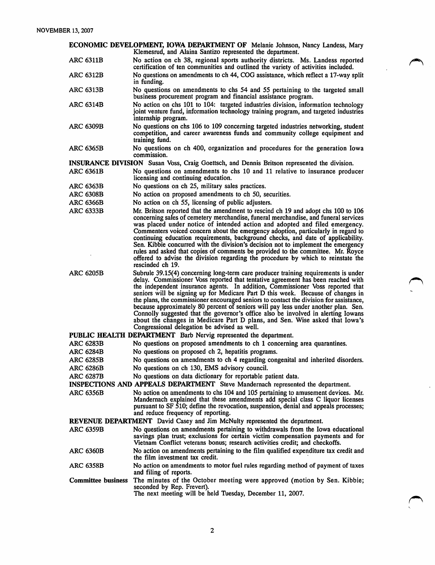ECONOMIC DEVELOPMENT, IOWA DEPARTMENT OF Melanie Johnson, Nancy Landess, Mary Klemesnid, and Alaina Santizo represented the department.

ARC 6311B No action on ch 38, regional sports authority districts. Ms. Landess reported certification of ten communities and outlined the variety of activities included.

ARC 6312B No questions on amendments to ch 44, COG assistance, which reflect a 17-way split in funding.

ARC 6313B No questions on amendments to chs 54 and 55 pertaining to the targeted small business procurement program and financial assistance program.

- ARC 6314B No action on chs 101 to 104: targeted industries division, information technology joint venture fund, information technology training program, and targeted industries internship program.
- ARC 6309B No questions on chs 106 to 109 concerning targeted industries networking, student competition, and career awareness funds and community college equipment and training fund.
- ARC 6365B No questions on ch 400, organization and procedures for the generation Iowa commission.

INSURANCE DIVISION Susan Voss, Craig Goettsch, and Dennis Britson represented the division.

ARC 6361B No questions on amendments to chs 10 and 11 relative to insurance producer licensing and continuing education.

- ARC 6363B No questions on ch 25, military sales practices.<br>ARC 6308B No action on proposed amendments to ch 50, s
- ARC 6308B No action on proposed amendments to ch 50, securities.<br>ARC 6366B No action on ch 55, licensing of public adjusters.
	- No action on ch 55, licensing of public adjusters.
- ARC 6333B Mr. Britson reported that the amendment to rescind ch 19 and adopt chs 100 to 106 concerning sales of cemetery merchandise, funeral merchandise, and funeral services was placed under notice of intended action and adopted and filed emergency. Commenters voiced concern about the emergency adoption, particularly in regard to continuing education requirements, background checks, and date of applicability. Sen. Kibbie concurred with the division's decision not to implement the emergency rules and asked that copies of comments be provided to the committee. Mr. Royce offered to advise the division regarding the procedure by which to reinstate the rescinded ch 19.
- ARC 6205B Subrule 39.15(4) concerning long-term care producer training requirements is under delay. Commissioner Voss reported that tentative agreement has been reached with the independent insurance agents. In addition. Commissioner Voss reported that seniors will be signing up for Medicare Part D this week. Because of changes in the plans, the commissioner encouraged seniors to contact the division for assistance, because approximately 80 percent of seniors will pay less under another plan. Sen. Connolly suggested that the governor's office also be involved in alerting lowans about the changes in Medicare Part D plans, and Sen. Wise asked that Iowa's Congressional delegation be advised as well.
- PUBLIC HEALTH DEPARTMENT Barb Nervig represented the department.
- ARC 6283B No questions on proposed amendments to ch 1 concerning area quarantines.<br>ARC 6284B No questions on proposed ch 2, hepatitis programs.
- No questions on proposed ch 2, hepatitis programs.
- ARC 6285B No questions on amendments to ch 4 regarding congenital and inherited disorders.
- ARC 6286B No questions on ch 130, EMS advisory council.<br>ARC 6287B No questions on data dictionary for reportable p
- No questions on data dictionary for reportable patient data.

INSPECTIONS AND APPEALS DEPARTMENT Steve Mandernach represented the department.

ARC 6356B No action on amendments to chs 104 and 105 pertaining to amusement devices. Mr. Mandernach explained that these amendments add special class C liquor licenses pursuant to SF 510; define the revocation, suspension, denial and appeals processes; and reduce frequency of reporting.

REVENUE DEPARTMENT David Casey and Jim McNulty represented the department.

- ARC 6359B No questions on amendments pertaining to withdrawals from the Iowa educational savings plan trust; exclusions for certain victim compensation payments and for Vietnam Conflict veterans bonus; research activities credit; and checkoffs.
- ARC 6360B No action on amendments pertaining to the film qualified expenditure tax credit and the film investment tax credit.
- ARC 6358B No action on amendments to motor fuel rules regarding method of payment of taxes and filing of reports.
- Committee business The minutes of the October meeting were approved (motion by Sen. Kibbie; seconded by Rep. Frevert).

The next meeting will be held Tuesday, December 11, 2007.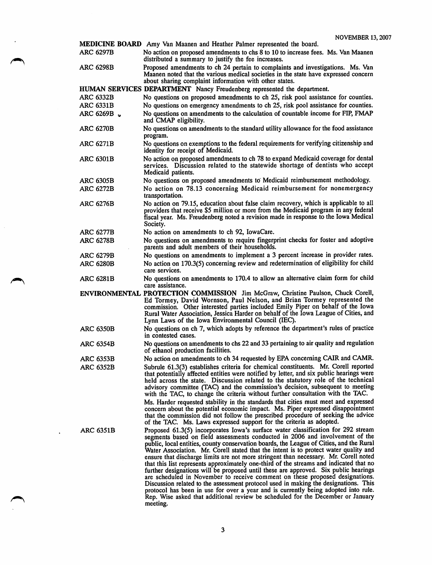MEDICINE BOARD Amy Van Maanen and Heather Palmer represented the board.<br>ARC 6297B No action on proposed amendments to chs 8 to 10 to increase fee No action on proposed amendments to chs 8 to 10 to increase fees. Ms. Van Maanen distributed a summary to justify the fee increases. ARC 6298B Proposed amendments to ch 24 pertain to complaints and investigations. Ms. Van Maanen noted that the various medical societies in the state have expressed concern about sharing complaint information with other states. HUMAN SERVICES DEPARTMENT Nancy Freudenberg represented the department. ARC 6332B No questions on proposed amendments to ch 25, risk pool assistance for counties. ARC 6331B No questions on emergency amendments to ch 25, risk pool assistance for counties. ARC 6269B v No questions on amendments to the calculation of countable income for FIP, FMAP and CMAP eligibility. ARC 6270B No questions on amendments to the standard utility allowance for the food assistance program, ARC 6271B No questions on exemptions to the federal requirements for verifying citizenship and identity for receipt of Medicaid. ARC 6301B No action on proposed amendments to ch 78 to expand Medicaid coverage for dental services. Discussion related to the statewide shortage of dentists who accept Medicaid patients. ARC 6305B No questions on proposed amendments to Medicaid reimbursement methodology.<br>ARC 6272B No action on 78.13 concerning Medicaid reimbursement for nonemergency No action on 78.13 concerning Medicaid reimbursement for nonemergency transportation. ARC 6276B No action on 79.15, education about false claim recovery, which is applicable to all providers that receive \$5 million or more from the Medicaid program in any federal fiscal year. Ms. Freudenberg noted a revision made in response to the Iowa Medical Society. ARC 6277B No action on amendments to ch 92, lowaCare. ARC 6278B No questions on amendments to require fingerprint checks for foster and adoptive parents and adult members of their households. ARC 6279B No questions on amendments to implement a 3 percent increase in provider rates. ARC 6280B No action on 170.3(5) concerning review and redetermination of eligibility for child care services. ARC 6281B No questions on amendments to 170.4 to allow an alternative claim form for child care assistance. ENVIRONMENTAL PROTECTION COMMISSION Jim McGraw, Christine Paulson, Chuck Corell, Ed Tormey, David Wornson, Paul Nelson, and Brian Tormey represented the commission. Other interested parties included Emily Piper on behalf of the Iowa Rural Water Association, Jessica Harder on behalf of the Iowa League of Cities, and Lynn Laws of the Iowa Environmental Council (lEC). ARC 6350B No questions on ch 7, which adopts by reference the department's rules of practice in contested cases. ARC 6354B No questions on amendments to chs 22 and 33 pertaining to air quality and regulation of ethanol production facilities. ARC 6353B No action on amendments to ch 34 requested by EPA concerning CAIR and CAMR. ARC 6352B Subrule 61.3(3) establishes criteria for chemical constituents. Mr. Corell reported that potentially affected entities were notified by letter, and six public hearings were held across the state. Discussion related to the statutory role of the technical advisory committee (TAC) and the commission's decision, subsequent to meeting with the TAC, to change the criteria without further consultation with the TAC. Ms. Harder requested stability in the standards that cities must meet and expressed concern about the potential economic impact. Ms. Piper expressed disappointment that the commission did not follow the prescribed procedure of seeking the advice of the TAC. Ms. Laws expressed support for the criteria as adopted. ARC 6351B Proposed 61.3(5) incorporates Iowa's surface water classification for 292 stream segments based on field assessments conducted in 2006 and involvement of the public, local entities, county conservation boards, the League of Cities, and the Rural Water Association. Mr. Corell stated that the intent is to protect water quality and ensure that discharge limits are not more stringent than necessary. Mr. Corell noted that this list represents approximately one-third of the streams and indicated that no further designations will be proposed until these are approved. Six public hearings are scheduled in November to receive comment on these proposed designations. Discussion related to the assessment protocol used in making the designations. This protocol has been in use for over a year and is currently being adopted into rule. Rep. Wise asked that additional review be scheduled for the December or January meeting.